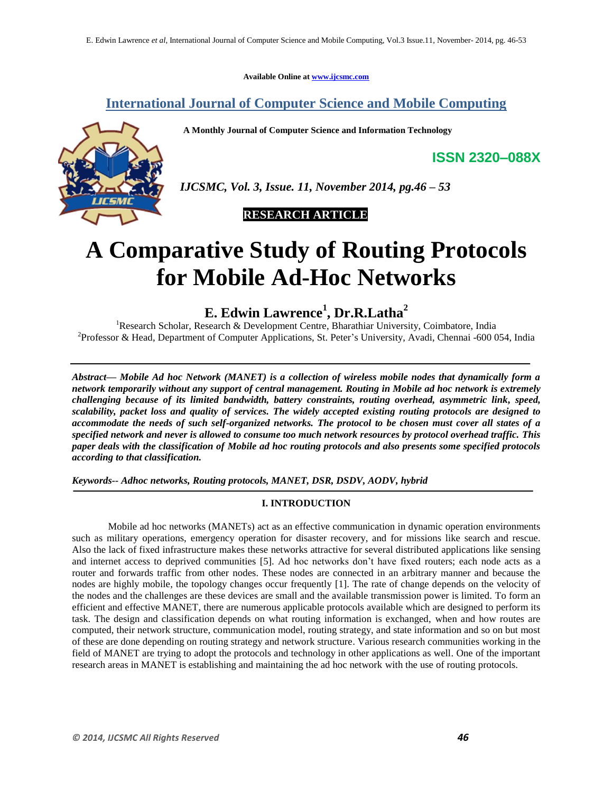**Available Online at [www.ijcsmc.com](http://www.ijcsmc.com/)**

# **International Journal of Computer Science and Mobile Computing**

 **A Monthly Journal of Computer Science and Information Technology**



 *IJCSMC, Vol. 3, Issue. 11, November 2014, pg.46 – 53*

# **RESEARCH ARTICLE**

# **A Comparative Study of Routing Protocols for Mobile Ad-Hoc Networks**

**E. Edwin Lawrence<sup>1</sup> , Dr.R.Latha<sup>2</sup>**

<sup>1</sup>Research Scholar, Research & Development Centre, Bharathiar University, Coimbatore, India <sup>2</sup>Professor & Head, Department of Computer Applications, St. Peter's University, Avadi, Chennai -600 054, India

*Abstract— Mobile Ad hoc Network (MANET) is a collection of wireless mobile nodes that dynamically form a network temporarily without any support of central management. Routing in Mobile ad hoc network is extremely challenging because of its limited bandwidth, battery constraints, routing overhead, asymmetric link, speed, scalability, packet loss and quality of services. The widely accepted existing routing protocols are designed to accommodate the needs of such self-organized networks. The protocol to be chosen must cover all states of a specified network and never is allowed to consume too much network resources by protocol overhead traffic. This paper deals with the classification of Mobile ad hoc routing protocols and also presents some specified protocols according to that classification.*

*Keywords-- Adhoc networks, Routing protocols, MANET, DSR, DSDV, AODV, hybrid*

# **I. INTRODUCTION**

Mobile ad hoc networks (MANETs) act as an effective communication in dynamic operation environments such as military operations, emergency operation for disaster recovery, and for missions like search and rescue. Also the lack of fixed infrastructure makes these networks attractive for several distributed applications like sensing and internet access to deprived communities [5]. Ad hoc networks don't have fixed routers; each node acts as a router and forwards traffic from other nodes. These nodes are connected in an arbitrary manner and because the nodes are highly mobile, the topology changes occur frequently [1]. The rate of change depends on the velocity of the nodes and the challenges are these devices are small and the available transmission power is limited. To form an efficient and effective MANET, there are numerous applicable protocols available which are designed to perform its task. The design and classification depends on what routing information is exchanged, when and how routes are computed, their network structure, communication model, routing strategy, and state information and so on but most of these are done depending on routing strategy and network structure. Various research communities working in the field of MANET are trying to adopt the protocols and technology in other applications as well. One of the important research areas in MANET is establishing and maintaining the ad hoc network with the use of routing protocols.

**ISSN 2320–088X**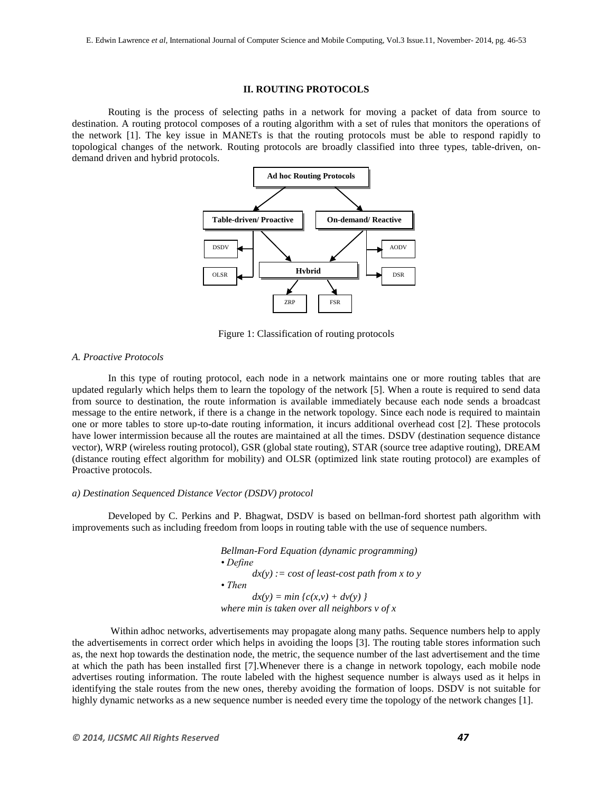#### **II. ROUTING PROTOCOLS**

Routing is the process of selecting paths in a network for moving a packet of data from source to destination. A routing protocol composes of a routing algorithm with a set of rules that monitors the operations of the network [1]. The key issue in MANETs is that the routing protocols must be able to respond rapidly to topological changes of the network. Routing protocols are broadly classified into three types, table-driven, ondemand driven and hybrid protocols.



Figure 1: Classification of routing protocols

#### *A. Proactive Protocols*

In this type of routing protocol, each node in a network maintains one or more routing tables that are updated regularly which helps them to learn the topology of the network [5]. When a route is required to send data from source to destination, the route information is available immediately because each node sends a broadcast message to the entire network, if there is a change in the network topology. Since each node is required to maintain one or more tables to store up-to-date routing information, it incurs additional overhead cost [2]. These protocols have lower intermission because all the routes are maintained at all the times. DSDV (destination sequence distance vector), WRP (wireless routing protocol), GSR (global state routing), STAR (source tree adaptive routing), DREAM (distance routing effect algorithm for mobility) and OLSR (optimized link state routing protocol) are examples of Proactive protocols.

#### *a) Destination Sequenced Distance Vector (DSDV) protocol*

Developed by C. Perkins and P. Bhagwat, DSDV is based on bellman-ford shortest path algorithm with improvements such as including freedom from loops in routing table with the use of sequence numbers.

> *Bellman-Ford Equation (dynamic programming) • Define dx(y) := cost of least-cost path from x to y • Then*  $dx(y) = min \{c(x, y) + dv(y) \}$ *where min is taken over all neighbors v of x*

Within adhoc networks, advertisements may propagate along many paths. Sequence numbers help to apply the advertisements in correct order which helps in avoiding the loops [3]. The routing table stores information such as, the next hop towards the destination node, the metric, the sequence number of the last advertisement and the time at which the path has been installed first [7].Whenever there is a change in network topology, each mobile node advertises routing information. The route labeled with the highest sequence number is always used as it helps in identifying the stale routes from the new ones, thereby avoiding the formation of loops. DSDV is not suitable for highly dynamic networks as a new sequence number is needed every time the topology of the network changes [1].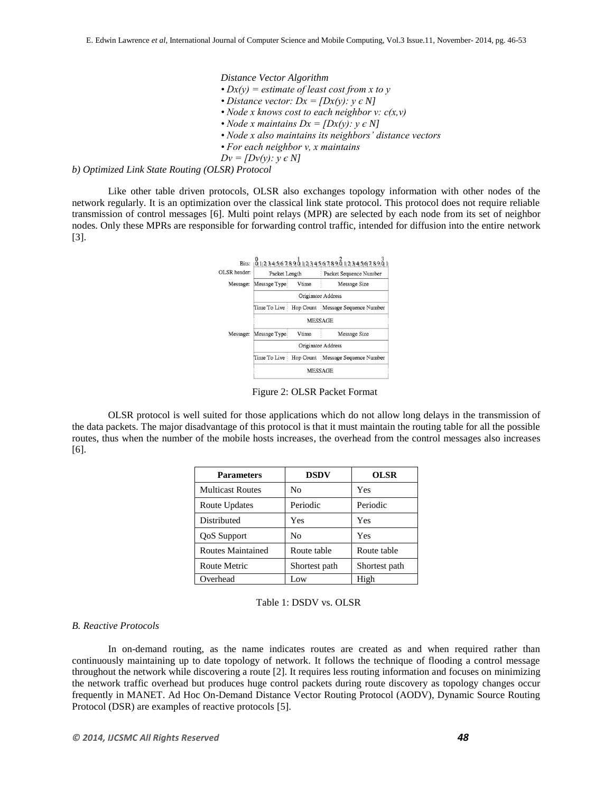*Distance Vector Algorithm*

- *Dx(y) = estimate of least cost from x to y*
- *Distance vector: Dx =*  $[Dx(y): y \in N]$
- *Node x knows cost to each neighbor v: c(x,v)*
- *Node x maintains*  $Dx = [Dx(v): v \in N]$
- *Node x also maintains its neighbors' distance vectors*
- *For each neighbor v, x maintains*
- *Dv = [Dv(y): y є N]*

## *b) Optimized Link State Routing (OLSR) Protocol*

Like other table driven protocols, OLSR also exchanges topology information with other nodes of the network regularly. It is an optimization over the classical link state protocol. This protocol does not require reliable transmission of control messages [6]. Multi point relays (MPR) are selected by each node from its set of neighbor nodes. Only these MPRs are responsible for forwarding control traffic, intended for diffusion into the entire network [3].



Figure 2: OLSR Packet Format

OLSR protocol is well suited for those applications which do not allow long delays in the transmission of the data packets. The major disadvantage of this protocol is that it must maintain the routing table for all the possible routes, thus when the number of the mobile hosts increases, the overhead from the control messages also increases [6].

| <b>Parameters</b>       | <b>DSDV</b>   | <b>OLSR</b>   |
|-------------------------|---------------|---------------|
| <b>Multicast Routes</b> | Nο            | Yes           |
| Route Updates           | Periodic      | Periodic      |
| Distributed             | Yes           | Yes           |
| <b>QoS</b> Support      | Nο            | Yes           |
| Routes Maintained       | Route table   | Route table   |
| Route Metric            | Shortest path | Shortest path |
| Overhead                | Low           | High          |

#### Table 1: DSDV vs. OLSR

#### *B. Reactive Protocols*

In on-demand routing, as the name indicates routes are created as and when required rather than continuously maintaining up to date topology of network. It follows the technique of flooding a control message throughout the network while discovering a route [2]. It requires less routing information and focuses on minimizing the network traffic overhead but produces huge control packets during route discovery as topology changes occur frequently in MANET. Ad Hoc On-Demand Distance Vector Routing Protocol (AODV), Dynamic Source Routing Protocol (DSR) are examples of reactive protocols [5].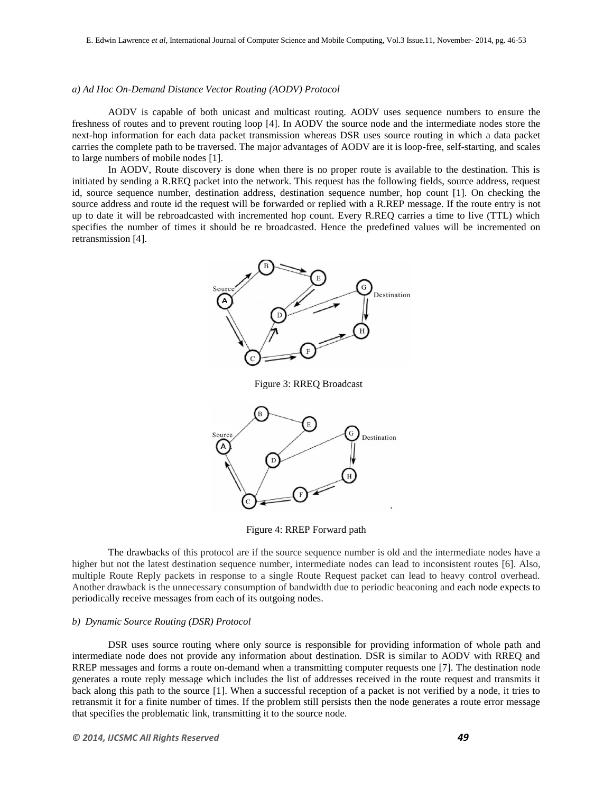#### *a) Ad Hoc On-Demand Distance Vector Routing (AODV) Protocol*

AODV is capable of both unicast and multicast routing. AODV uses sequence numbers to ensure the freshness of routes and to prevent routing loop [4]. In AODV the source node and the intermediate nodes store the next-hop information for each data packet transmission whereas DSR uses source routing in which a data packet carries the complete path to be traversed. The major advantages of AODV are it is loop-free, self-starting, and scales to large numbers of mobile nodes [1].

In AODV, Route discovery is done when there is no proper route is available to the destination. This is initiated by sending a R.REQ packet into the network. This request has the following fields, source address, request id, source sequence number, destination address, destination sequence number, hop count [1]. On checking the source address and route id the request will be forwarded or replied with a R.REP message. If the route entry is not up to date it will be rebroadcasted with incremented hop count. Every R.REQ carries a time to live (TTL) which specifies the number of times it should be re broadcasted. Hence the predefined values will be incremented on retransmission [4].



Figure 3: RREQ Broadcast



Figure 4: RREP Forward path

The drawbacks of this protocol are if the source sequence number is old and the intermediate nodes have a higher but not the latest destination sequence number, intermediate nodes can lead to inconsistent routes [6]. Also, multiple Route Reply packets in response to a single Route Request packet can lead to heavy control overhead. Another drawback is the unnecessary consumption of bandwidth due to periodic beaconing and each node expects to periodically receive messages from each of its outgoing nodes.

#### *b) Dynamic Source Routing (DSR) Protocol*

DSR uses source routing where only source is responsible for providing information of whole path and intermediate node does not provide any information about destination. DSR is similar to AODV with RREQ and RREP messages and forms a route on-demand when a transmitting computer requests one [7]. The destination node generates a route reply message which includes the list of addresses received in the route request and transmits it back along this path to the source [1]. When a successful reception of a packet is not verified by a node, it tries to retransmit it for a finite number of times. If the problem still persists then the node generates a route error message that specifies the problematic link, transmitting it to the source node.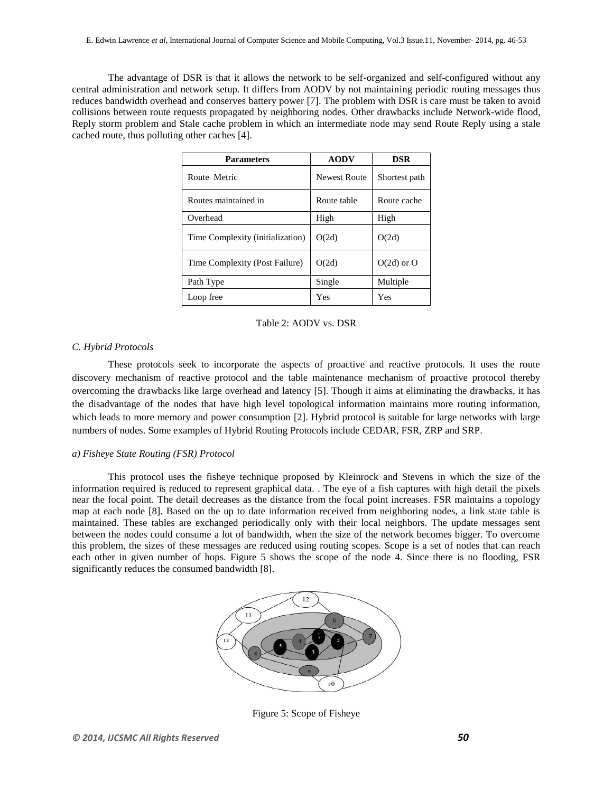The advantage of DSR is that it allows the network to be self-organized and self-configured without any central administration and network setup. It differs from AODV by not maintaining periodic routing messages thus reduces bandwidth overhead and conserves battery power [7]. The problem with DSR is care must be taken to avoid collisions between route requests propagated by neighboring nodes. Other drawbacks include Network-wide flood, Reply storm problem and Stale cache problem in which an intermediate node may send Route Reply using a stale cached route, thus polluting other caches [4].

| <b>Parameters</b>                | <b>AODV</b>  | <b>DSR</b>     |
|----------------------------------|--------------|----------------|
| Route Metric                     | Newest Route | Shortest path  |
| Routes maintained in             | Route table  | Route cache    |
| Overhead                         | High         | High           |
| Time Complexity (initialization) | O(2d)        | O(2d)          |
| Time Complexity (Post Failure)   | O(2d)        | $O(2d)$ or $O$ |
| Path Type                        | Single       | Multiple       |
| Loop free                        | Yes          | Yes            |

Table 2: AODV vs. DSR

### *C. Hybrid Protocols*

These protocols seek to incorporate the aspects of proactive and reactive protocols. It uses the route discovery mechanism of reactive protocol and the table maintenance mechanism of proactive protocol thereby overcoming the drawbacks like large overhead and latency [5]. Though it aims at eliminating the drawbacks, it has the disadvantage of the nodes that have high level topological information maintains more routing information, which leads to more memory and power consumption [2]. Hybrid protocol is suitable for large networks with large numbers of nodes. Some examples of Hybrid Routing Protocols include CEDAR, FSR, ZRP and SRP.

#### *a) Fisheye State Routing (FSR) Protocol*

This protocol uses the fisheye technique proposed by Kleinrock and Stevens in which the size of the information required is reduced to represent graphical data. . The eye of a fish captures with high detail the pixels near the focal point. The detail decreases as the distance from the focal point increases. FSR maintains a topology map at each node [8]. Based on the up to date information received from neighboring nodes, a link state table is maintained. These tables are exchanged periodically only with their local neighbors. The update messages sent between the nodes could consume a lot of bandwidth, when the size of the network becomes bigger. To overcome this problem, the sizes of these messages are reduced using routing scopes. Scope is a set of nodes that can reach each other in given number of hops. Figure 5 shows the scope of the node 4. Since there is no flooding, FSR significantly reduces the consumed bandwidth [8].



Figure 5: Scope of Fisheye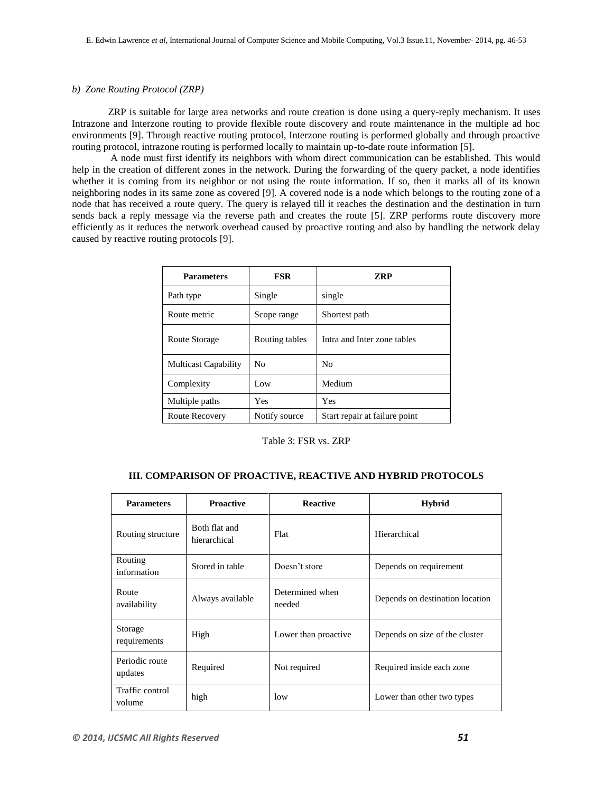#### *b) Zone Routing Protocol (ZRP)*

ZRP is suitable for large area networks and route creation is done using a query-reply mechanism. It uses Intrazone and Interzone routing to provide flexible route discovery and route maintenance in the multiple ad hoc environments [9]. Through reactive routing protocol, Interzone routing is performed globally and through proactive routing protocol, intrazone routing is performed locally to maintain up-to-date route information [5].

A node must first identify its neighbors with whom direct communication can be established. This would help in the creation of different zones in the network. During the forwarding of the query packet, a node identifies whether it is coming from its neighbor or not using the route information. If so, then it marks all of its known neighboring nodes in its same zone as covered [9]. A covered node is a node which belongs to the routing zone of a node that has received a route query. The query is relayed till it reaches the destination and the destination in turn sends back a reply message via the reverse path and creates the route [5]. ZRP performs route discovery more efficiently as it reduces the network overhead caused by proactive routing and also by handling the network delay caused by reactive routing protocols [9].

| <b>Parameters</b>           | <b>FSR</b>     | <b>ZRP</b>                    |
|-----------------------------|----------------|-------------------------------|
| Path type                   | Single         | single                        |
| Route metric                | Scope range    | Shortest path                 |
| Route Storage               | Routing tables | Intra and Inter zone tables   |
| <b>Multicast Capability</b> | No             | No                            |
| Complexity                  | Low            | Medium                        |
| Multiple paths              | Yes            | Yes                           |
| Route Recovery              | Notify source  | Start repair at failure point |

Table 3: FSR vs. ZRP

# **III. COMPARISON OF PROACTIVE, REACTIVE AND HYBRID PROTOCOLS**

| <b>Parameters</b>         | <b>Proactive</b>              | <b>Reactive</b>           | <b>Hybrid</b>                   |
|---------------------------|-------------------------------|---------------------------|---------------------------------|
| Routing structure         | Both flat and<br>hierarchical | Flat                      | Hierarchical                    |
| Routing<br>information    | Stored in table               | Doesn't store             | Depends on requirement          |
| Route<br>availability     | Always available              | Determined when<br>needed | Depends on destination location |
| Storage<br>requirements   | High                          | Lower than proactive      | Depends on size of the cluster  |
| Periodic route<br>updates | Required                      | Not required              | Required inside each zone       |
| Traffic control<br>volume | high                          | low                       | Lower than other two types      |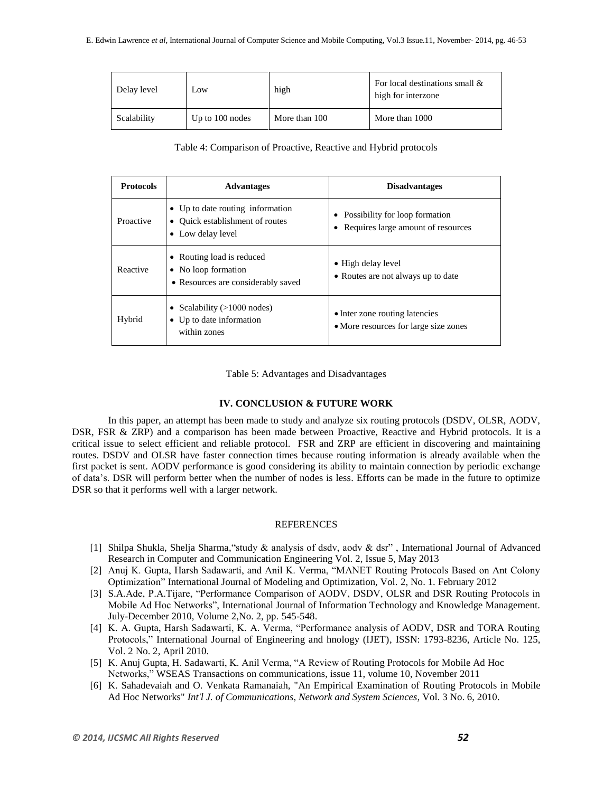| Delay level | Low               | high          | For local destinations small &<br>high for interzone |
|-------------|-------------------|---------------|------------------------------------------------------|
| Scalability | Up to $100$ nodes | More than 100 | More than 1000                                       |

Table 4: Comparison of Proactive, Reactive and Hybrid protocols

| <b>Protocols</b> | <b>Advantages</b>                                                                                   | <b>Disadvantages</b>                                                    |
|------------------|-----------------------------------------------------------------------------------------------------|-------------------------------------------------------------------------|
| Proactive        | • Up to date routing information<br>• Ouick establishment of routes<br>Low delay level<br>$\bullet$ | Possibility for loop formation<br>Requires large amount of resources    |
| Reactive         | • Routing load is reduced<br>• No loop formation<br>• Resources are considerably saved              | • High delay level<br>• Routes are not always up to date                |
| Hybrid           | Scalability $(>1000$ nodes)<br>٠<br>• Up to date information<br>within zones                        | • Inter zone routing latencies<br>• More resources for large size zones |

Table 5: Advantages and Disadvantages

#### **IV. CONCLUSION & FUTURE WORK**

In this paper, an attempt has been made to study and analyze six routing protocols (DSDV, OLSR, AODV, DSR, FSR & ZRP) and a comparison has been made between Proactive, Reactive and Hybrid protocols. It is a critical issue to select efficient and reliable protocol. FSR and ZRP are efficient in discovering and maintaining routes. DSDV and OLSR have faster connection times because routing information is already available when the first packet is sent. AODV performance is good considering its ability to maintain connection by periodic exchange of data's. DSR will perform better when the number of nodes is less. Efforts can be made in the future to optimize DSR so that it performs well with a larger network.

#### REFERENCES

- [1] Shilpa Shukla, Shelja Sharma,"study & analysis of dsdv, aodv & dsr" , International Journal of Advanced Research in Computer and Communication Engineering Vol. 2, Issue 5, May 2013
- [2] Anuj K. Gupta, Harsh Sadawarti, and Anil K. Verma, "MANET Routing Protocols Based on Ant Colony Optimization" International Journal of Modeling and Optimization, Vol. 2, No. 1. February 2012
- [3] S.A.Ade, P.A.Tijare, "Performance Comparison of AODV, DSDV, OLSR and DSR Routing Protocols in Mobile Ad Hoc Networks", International Journal of Information Technology and Knowledge Management. July-December 2010, Volume 2,No. 2, pp. 545-548.
- [4] K. A. Gupta, Harsh Sadawarti, K. A. Verma, "Performance analysis of AODV, DSR and TORA Routing Protocols," International Journal of Engineering and hnology (IJET), ISSN: 1793-8236, Article No. 125, Vol. 2 No. 2, April 2010.
- [5] K. Anuj Gupta, H. Sadawarti, K. Anil Verma, "A Review of Routing Protocols for Mobile Ad Hoc Networks," WSEAS Transactions on communications, issue 11, volume 10, November 2011
- [6] K. Sahadevaiah and O. Venkata Ramanaiah, "An Empirical Examination of Routing Protocols in Mobile Ad Hoc Networks" *Int'l J. of Communications, Network and System Sciences*, Vol. 3 No. 6, 2010.